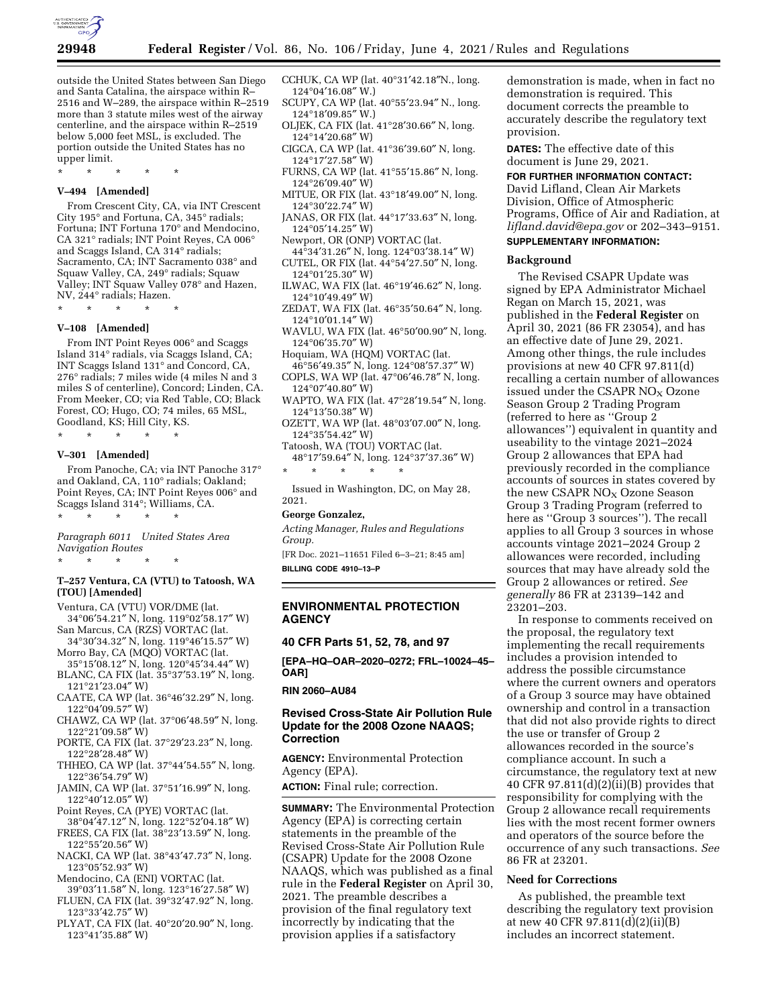

outside the United States between San Diego and Santa Catalina, the airspace within R– 2516 and W–289, the airspace within R–2519 more than 3 statute miles west of the airway centerline, and the airspace within R–2519 below 5,000 feet MSL, is excluded. The portion outside the United States has no upper limit.

\* \* \* \* \*

### **V–494 [Amended]**

From Crescent City, CA, via INT Crescent City 195° and Fortuna, CA, 345° radials; Fortuna; INT Fortuna 170° and Mendocino, CA 321° radials; INT Point Reyes, CA 006° and Scaggs Island, CA 314° radials; Sacramento, CA; INT Sacramento 038° and Squaw Valley, CA, 249° radials; Squaw Valley; INT Squaw Valley 078° and Hazen, NV, 244° radials; Hazen.

\* \* \* \* \*

## **V–108 [Amended]**

From INT Point Reyes 006° and Scaggs Island 314° radials, via Scaggs Island, CA; INT Scaggs Island 131° and Concord, CA, 276° radials; 7 miles wide (4 miles N and 3 miles S of centerline), Concord; Linden, CA. From Meeker, CO; via Red Table, CO; Black Forest, CO; Hugo, CO; 74 miles, 65 MSL, Goodland, KS; Hill City, KS.

\* \* \* \* \*

#### **V–301 [Amended]**

From Panoche, CA; via INT Panoche 317° and Oakland, CA, 110° radials; Oakland; Point Reyes, CA; INT Point Reyes 006° and Scaggs Island 314°; Williams, CA. \* \* \* \* \*

*Paragraph 6011 United States Area Navigation Routes* 

\* \* \* \* \*

### **T–257 Ventura, CA (VTU) to Tatoosh, WA (TOU) [Amended]**

- Ventura, CA (VTU) VOR/DME (lat. 34°06′54.21″ N, long. 119°02′58.17″ W)
- San Marcus, CA (RZS) VORTAC (lat. 34°30′34.32″ N, long. 119°46′15.57″ W)
- Morro Bay, CA (MQO) VORTAC (lat.
- 35°15′08.12″ N, long. 120°45′34.44″ W) BLANC, CA FIX (lat. 35°37′53.19″ N, long. 121°21′23.04″ W)
- CAATE, CA WP (lat. 36°46′32.29″ N, long. 122°04′09.57″ W)
- CHAWZ, CA WP (lat. 37°06′48.59″ N, long. 122°21′09.58″ W)
- PORTE, CA FIX (lat. 37°29′23.23″ N, long. 122°28′28.48″ W)
- THHEO, CA WP (lat. 37°44′54.55″ N, long. 122°36′54.79″ W)
- JAMIN, CA WP (lat. 37°51′16.99″ N, long. 122°40′12.05″ W)
- Point Reyes, CA (PYE) VORTAC (lat.
- 38°04′47.12″ N, long. 122°52′04.18″ W) FREES, CA FIX (lat. 38°23′13.59″ N, long.
- 122°55′20.56″ W) NACKI, CA WP (lat. 38°43′47.73″ N, long.
- 123°05′52.93″ W) Mendocino, CA (ENI) VORTAC (lat.
- 39°03′11.58″ N, long. 123°16′27.58″ W)
- FLUEN, CA FIX (lat. 39°32′47.92″ N, long. 123°33′42.75″ W)
- PLYAT, CA FIX (lat. 40°20′20.90″ N, long. 123°41′35.88″ W)
- CCHUK, CA WP (lat. 40°31′42.18″N., long. 124°04′16.08″ W.)
- SCUPY, CA WP (lat. 40°55′23.94″ N., long. 124°18′09.85″ W.)
- OLJEK, CA FIX (lat. 41°28′30.66″ N, long. 124°14′20.68″ W)
- CIGCA, CA WP (lat. 41°36′39.60″ N, long. 124°17′27.58″ W)
- FURNS, CA WP (lat. 41°55′15.86″ N, long. 124°26′09.40″ W)
- MITUE, OR FIX (lat. 43°18′49.00″ N, long. 124°30′22.74″ W)
- JANAS, OR FIX (lat. 44°17′33.63″ N, long. 124°05′14.25″ W)
- Newport, OR (ONP) VORTAC (lat.
- 44°34′31.26″ N, long. 124°03′38.14″ W) CUTEL, OR FIX (lat. 44°54′27.50″ N, long.
- 124°01′25.30″ W) ILWAC, WA FIX (lat. 46°19′46.62″ N, long.
- 124°10′49.49″ W) ZEDAT, WA FIX (lat. 46°35′50.64″ N, long.
- 124°10′01.14″ W)
- WAVLU, WA FIX (lat. 46°50′00.90″ N, long. 124°06′35.70″ W)
- Hoquiam, WA (HQM) VORTAC (lat. 46°56′49.35″ N, long. 124°08′57.37″ W)
- COPLS, WA WP (lat. 47°06′46.78″ N, long. 124°07′40.80″ W)
- WAPTO, WA FIX (lat. 47°28′19.54″ N, long. 124°13′50.38″ W)
- OZETT, WA WP (lat. 48°03′07.00″ N, long. 124°35′54.42″ W)
- Tatoosh, WA (TOU) VORTAC (lat. 48°17′59.64″ N, long. 124°37′37.36″ W)
- \* \* \* \* \*

Issued in Washington, DC, on May 28, 2021.

#### **George Gonzalez,**

*Acting Manager, Rules and Regulations Group.* 

[FR Doc. 2021–11651 Filed 6–3–21; 8:45 am] **BILLING CODE 4910–13–P** 

# **ENVIRONMENTAL PROTECTION AGENCY**

**40 CFR Parts 51, 52, 78, and 97** 

**[EPA–HQ–OAR–2020–0272; FRL–10024–45– OAR]** 

# **RIN 2060–AU84**

# **Revised Cross-State Air Pollution Rule Update for the 2008 Ozone NAAQS; Correction**

**AGENCY:** Environmental Protection Agency (EPA).

**ACTION:** Final rule; correction.

**SUMMARY:** The Environmental Protection Agency (EPA) is correcting certain statements in the preamble of the Revised Cross-State Air Pollution Rule (CSAPR) Update for the 2008 Ozone NAAQS, which was published as a final rule in the **Federal Register** on April 30, 2021. The preamble describes a provision of the final regulatory text incorrectly by indicating that the provision applies if a satisfactory

demonstration is made, when in fact no demonstration is required. This document corrects the preamble to accurately describe the regulatory text provision.

**DATES:** The effective date of this document is June 29, 2021.

# **FOR FURTHER INFORMATION CONTACT:**

David Lifland, Clean Air Markets Division, Office of Atmospheric Programs, Office of Air and Radiation, at *[lifland.david@epa.gov](mailto:lifland.david@epa.gov)* or 202–343–9151. **SUPPLEMENTARY INFORMATION:** 

#### **Background**

The Revised CSAPR Update was signed by EPA Administrator Michael Regan on March 15, 2021, was published in the **Federal Register** on April 30, 2021 (86 FR 23054), and has an effective date of June 29, 2021. Among other things, the rule includes provisions at new 40 CFR 97.811(d) recalling a certain number of allowances issued under the CSAPR NO<sub>X</sub> Ozone Season Group 2 Trading Program (referred to here as ''Group 2 allowances'') equivalent in quantity and useability to the vintage 2021–2024 Group 2 allowances that EPA had previously recorded in the compliance accounts of sources in states covered by the new CSAPR  $NO<sub>X</sub>$  Ozone Season Group 3 Trading Program (referred to here as ''Group 3 sources''). The recall applies to all Group 3 sources in whose accounts vintage 2021–2024 Group 2 allowances were recorded, including sources that may have already sold the Group 2 allowances or retired. *See generally* 86 FR at 23139–142 and 23201–203.

In response to comments received on the proposal, the regulatory text implementing the recall requirements includes a provision intended to address the possible circumstance where the current owners and operators of a Group 3 source may have obtained ownership and control in a transaction that did not also provide rights to direct the use or transfer of Group 2 allowances recorded in the source's compliance account. In such a circumstance, the regulatory text at new 40 CFR 97.811 $(d)(2)(ii)(B)$  provides that responsibility for complying with the Group 2 allowance recall requirements lies with the most recent former owners and operators of the source before the occurrence of any such transactions. *See*  86 FR at 23201.

#### **Need for Corrections**

As published, the preamble text describing the regulatory text provision at new 40 CFR 97.811(d)(2)(ii)(B) includes an incorrect statement.